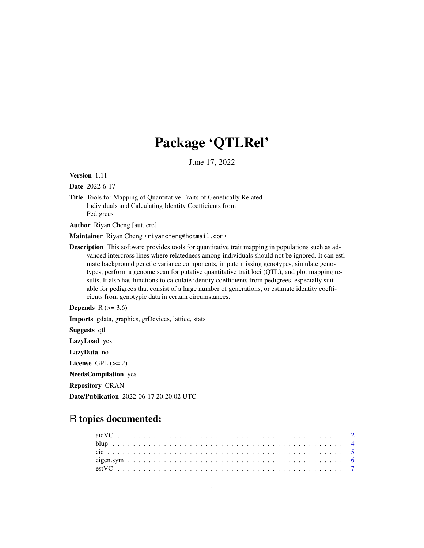# Package 'QTLRel'

June 17, 2022

<span id="page-0-0"></span>Version 1.11

Date 2022-6-17

Title Tools for Mapping of Quantitative Traits of Genetically Related Individuals and Calculating Identity Coefficients from Pedigrees

Author Riyan Cheng [aut, cre]

Maintainer Riyan Cheng <riyancheng@hotmail.com>

Description This software provides tools for quantitative trait mapping in populations such as advanced intercross lines where relatedness among individuals should not be ignored. It can estimate background genetic variance components, impute missing genotypes, simulate genotypes, perform a genome scan for putative quantitative trait loci (QTL), and plot mapping results. It also has functions to calculate identity coefficients from pedigrees, especially suitable for pedigrees that consist of a large number of generations, or estimate identity coefficients from genotypic data in certain circumstances.

Depends  $R$  ( $>= 3.6$ )

Imports gdata, graphics, grDevices, lattice, stats

Suggests qtl LazyLoad yes LazyData no License GPL  $(>= 2)$ NeedsCompilation yes Repository CRAN Date/Publication 2022-06-17 20:20:02 UTC

# R topics documented: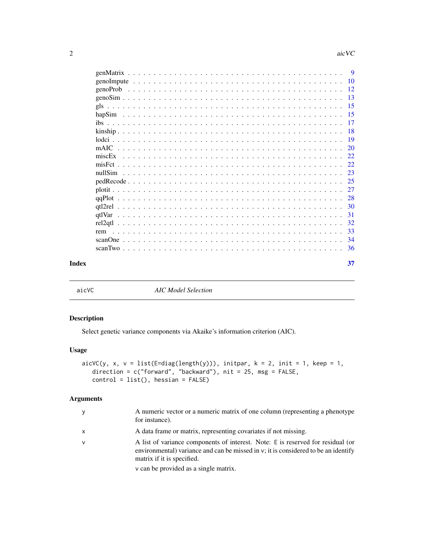<span id="page-1-0"></span>

|       |  |  |  |  |  |  |  |  |  |  |  |  |  |  |  |  |  |  | -23 |
|-------|--|--|--|--|--|--|--|--|--|--|--|--|--|--|--|--|--|--|-----|
|       |  |  |  |  |  |  |  |  |  |  |  |  |  |  |  |  |  |  |     |
|       |  |  |  |  |  |  |  |  |  |  |  |  |  |  |  |  |  |  | 27  |
|       |  |  |  |  |  |  |  |  |  |  |  |  |  |  |  |  |  |  |     |
|       |  |  |  |  |  |  |  |  |  |  |  |  |  |  |  |  |  |  |     |
|       |  |  |  |  |  |  |  |  |  |  |  |  |  |  |  |  |  |  | -31 |
|       |  |  |  |  |  |  |  |  |  |  |  |  |  |  |  |  |  |  | -32 |
|       |  |  |  |  |  |  |  |  |  |  |  |  |  |  |  |  |  |  | 33  |
|       |  |  |  |  |  |  |  |  |  |  |  |  |  |  |  |  |  |  |     |
|       |  |  |  |  |  |  |  |  |  |  |  |  |  |  |  |  |  |  | -36 |
|       |  |  |  |  |  |  |  |  |  |  |  |  |  |  |  |  |  |  |     |
| Index |  |  |  |  |  |  |  |  |  |  |  |  |  |  |  |  |  |  | 37  |

<span id="page-1-1"></span>

aicVC *AIC Model Selection*

# Description

Select genetic variance components via Akaike's information criterion (AIC).

# Usage

```
aicVC(y, x, v = list(E=diag(length(y))), initpar, k = 2, init = 1, keep = 1,direction = c("forward", "backward"), nit = 25, msg = FALSE,
   control = list(), hessian = FALSE)
```
# Arguments

| у | A numeric vector or a numeric matrix of one column (representing a phenotype)<br>for instance).                                                                                                                                              |
|---|----------------------------------------------------------------------------------------------------------------------------------------------------------------------------------------------------------------------------------------------|
| x | A data frame or matrix, representing covariates if not missing.                                                                                                                                                                              |
| v | A list of variance components of interest. Note: E is reserved for residual (or<br>environmental) variance and can be missed in v; it is considered to be an identify<br>matrix if it is specified.<br>v can be provided as a single matrix. |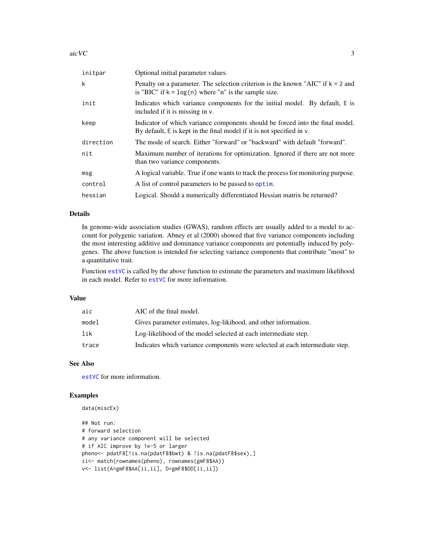<span id="page-2-0"></span>

| initpar   | Optional initial parameter values.                                                                                                                          |
|-----------|-------------------------------------------------------------------------------------------------------------------------------------------------------------|
| k         | Penalty on a parameter. The selection criterion is the known "AIC" if $k = 2$ and<br>is "BIC" if $k = \log(n)$ where "n" is the sample size.                |
| init      | Indicates which variance components for the initial model. By default, E is<br>included if it is missing in v.                                              |
| keep      | Indicator of which variance components should be forced into the final model.<br>By default, $E$ is kept in the final model if it is not specified in $v$ . |
| direction | The mode of search. Either "forward" or "backward" with default "forward".                                                                                  |
| nit       | Maximum number of iterations for optimization. Ignored if there are not more<br>than two variance components.                                               |
| msg       | A logical variable. True if one wants to track the process for monitoring purpose.                                                                          |
| control   | A list of control parameters to be passed to optim.                                                                                                         |
| hessian   | Logical. Should a numerically differentiated Hessian matrix be returned?                                                                                    |

# Details

In genome-wide association studies (GWAS), random effects are usually added to a model to account for polygenic variation. Abney et al (2000) showed that five variance components including the most interesting additive and dominance variance components are potentially induced by polygenes. The above function is intended for selecting variance components that contribute "most" to a quantitative trait.

Function [estVC](#page-6-1) is called by the above function to estimate the parameters and maximum likelihood in each model. Refer to [estVC](#page-6-1) for more information.

# Value

| aic   | AIC of the final model.                                                      |
|-------|------------------------------------------------------------------------------|
| model | Gives parameter estimates, log-likihood, and other information.              |
| lik   | Log-likelihood of the model selected at each intermediate step.              |
| trace | Indicates which variance components were selected at each intermediate step. |

#### See Also

[estVC](#page-6-1) for more information.

# Examples

data(miscEx)

```
## Not run:
# forward selection
# any variance component will be selected
# if AIC improve by 1e-5 or larger
pheno<- pdatF8[!is.na(pdatF8$bwt) & !is.na(pdatF8$sex),]
ii<- match(rownames(pheno), rownames(gmF8$AA))
v<- list(A=gmF8$AA[ii,ii], D=gmF8$DD[ii,ii])
```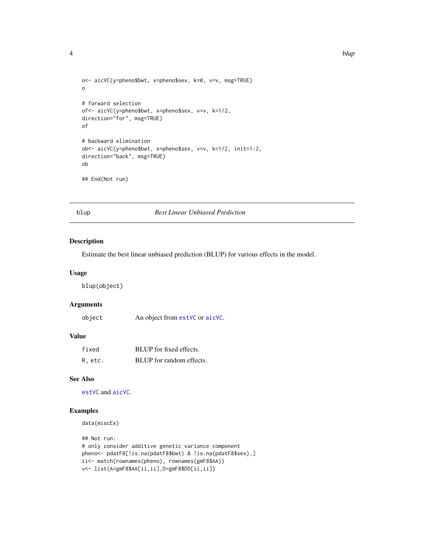```
o<- aicVC(y=pheno$bwt, x=pheno$sex, k=0, v=v, msg=TRUE)
o
# forward selection
of<- aicVC(y=pheno$bwt, x=pheno$sex, v=v, k=1/2,
direction="for", msg=TRUE)
of
# backward elimination
ob<- aicVC(y=pheno$bwt, x=pheno$sex, v=v, k=1/2, init=1:2,
direction="back", msg=TRUE)
ob
## End(Not run)
```
blup *Best Linear Unbiased Prediction*

#### Description

Estimate the best linear unbiased prediction (BLUP) for various effects in the model.

#### Usage

blup(object)

#### Arguments

| object | An object from estVC or aicVC. |
|--------|--------------------------------|
|--------|--------------------------------|

#### Value

| fixed   | BLUP for fixed effects.  |
|---------|--------------------------|
| R, etc. | BLUP for random effects. |

# See Also

[estVC](#page-6-1) and [aicVC](#page-1-1).

# Examples

data(miscEx)

```
## Not run:
# only consider additive genetic variance component
pheno<- pdatF8[!is.na(pdatF8$bwt) & !is.na(pdatF8$sex),]
ii<- match(rownames(pheno), rownames(gmF8$AA))
v<- list(A=gmF8$AA[ii,ii],D=gmF8$DD[ii,ii])
```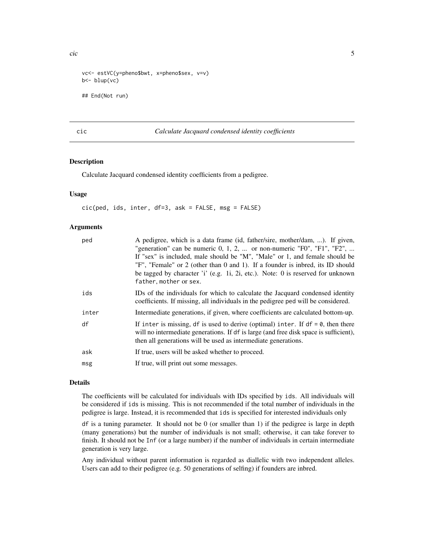<span id="page-4-0"></span>cic 5 and 5 and 5 and 5 and 5 and 5 and 5 and 5 and 5 and 5 and 5 and 5 and 5 and 5 and 5 and 5 and 5 and 5 and 5 and 5 and 5 and 5 and 5 and 5 and 5 and 5 and 5 and 5 and 5 and 5 and 5 and 5 and 5 and 5 and 5 and 5 and 5

```
vc<- estVC(y=pheno$bwt, x=pheno$sex, v=v)
b<- blup(vc)
## End(Not run)
```
#### <span id="page-4-1"></span>cic *Calculate Jacquard condensed identity coefficients*

#### Description

Calculate Jacquard condensed identity coefficients from a pedigree.

# Usage

cic(ped, ids, inter, df=3, ask = FALSE, msg = FALSE)

#### Arguments

| ped   | A pedigree, which is a data frame (id, father/sire, mother/dam, ). If given,<br>"generation" can be numeric $0, 1, 2, $ or non-numeric "F0", "F1", "F2",<br>If "sex" is included, male should be "M", "Male" or 1, and female should be<br>"F", "Female" or 2 (other than 0 and 1). If a founder is inbred, its ID should<br>be tagged by character 'i' (e.g. 1i, 2i, etc.). Note: 0 is reserved for unknown<br>father, mother or sex. |
|-------|----------------------------------------------------------------------------------------------------------------------------------------------------------------------------------------------------------------------------------------------------------------------------------------------------------------------------------------------------------------------------------------------------------------------------------------|
| ids   | IDs of the individuals for which to calculate the Jacquard condensed identity<br>coefficients. If missing, all individuals in the pedigree ped will be considered.                                                                                                                                                                                                                                                                     |
| inter | Intermediate generations, if given, where coefficients are calculated bottom-up.                                                                                                                                                                                                                                                                                                                                                       |
| df    | If inter is missing, df is used to derive (optimal) inter. If $df = \emptyset$ , then there<br>will no intermediate generations. If df is large (and free disk space is sufficient),<br>then all generations will be used as intermediate generations.                                                                                                                                                                                 |
| ask   | If true, users will be asked whether to proceed.                                                                                                                                                                                                                                                                                                                                                                                       |
| msg   | If true, will print out some messages.                                                                                                                                                                                                                                                                                                                                                                                                 |

# Details

The coefficients will be calculated for individuals with IDs specified by ids. All individuals will be considered if ids is missing. This is not recommended if the total number of individuals in the pedigree is large. Instead, it is recommended that ids is specified for interested individuals only

 $df$  is a tuning parameter. It should not be 0 (or smaller than 1) if the pedigree is large in depth (many generations) but the number of individuals is not small; otherwise, it can take forever to finish. It should not be Inf (or a large number) if the number of individuals in certain intermediate generation is very large.

Any individual without parent information is regarded as diallelic with two independent alleles. Users can add to their pedigree (e.g. 50 generations of selfing) if founders are inbred.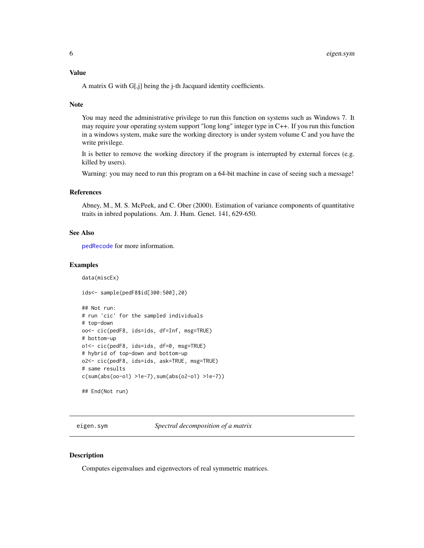# <span id="page-5-0"></span>Value

A matrix G with G[,j] being the j-th Jacquard identity coefficients.

#### Note

You may need the administrative privilege to run this function on systems such as Windows 7. It may require your operating system support "long long" integer type in C++. If you run this function in a windows system, make sure the working directory is under system volume C and you have the write privilege.

It is better to remove the working directory if the program is interrupted by external forces (e.g. killed by users).

Warning: you may need to run this program on a 64-bit machine in case of seeing such a message!

#### References

Abney, M., M. S. McPeek, and C. Ober (2000). Estimation of variance components of quantitative traits in inbred populations. Am. J. Hum. Genet. 141, 629-650.

### See Also

[pedRecode](#page-24-1) for more information.

#### Examples

data(miscEx)

ids<- sample(pedF8\$id[300:500],20)

```
## Not run:
# run 'cic' for the sampled individuals
# top-down
oo<- cic(pedF8, ids=ids, df=Inf, msg=TRUE)
# bottom-up
o1<- cic(pedF8, ids=ids, df=0, msg=TRUE)
# hybrid of top-down and bottom-up
o2<- cic(pedF8, ids=ids, ask=TRUE, msg=TRUE)
# same results
c(sum(abs(oo-o1) >1e-7),sum(abs(o2-o1) >1e-7))
```
## End(Not run)

eigen.sym *Spectral decomposition of a matrix*

#### **Description**

Computes eigenvalues and eigenvectors of real symmetric matrices.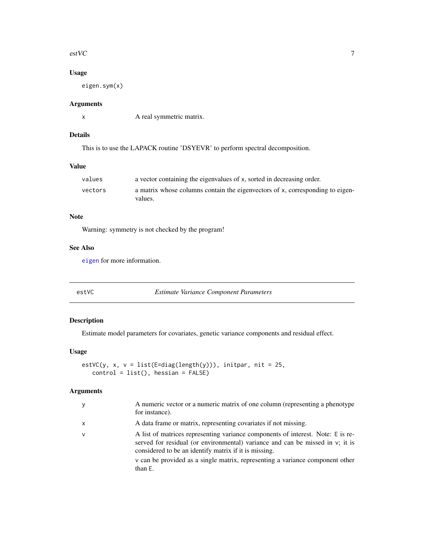#### <span id="page-6-0"></span> $\text{estVC}$  7

# Usage

eigen.sym(x)

# Arguments

x A real symmetric matrix.

# Details

This is to use the LAPACK routine 'DSYEVR' to perform spectral decomposition.

#### Value

| values  | a vector containing the eigenvalues of x, sorted in decreasing order.                    |
|---------|------------------------------------------------------------------------------------------|
| vectors | a matrix whose columns contain the eigenvectors of x, corresponding to eigen-<br>values. |

# Note

Warning: symmetry is not checked by the program!

# See Also

[eigen](#page-0-0) for more information.

<span id="page-6-1"></span>estVC *Estimate Variance Component Parameters*

# Description

Estimate model parameters for covariates, genetic variance components and residual effect.

#### Usage

```
estVC(y, x, v = list(E=diag(length(y))), initpar, nit = 25,
   control = list(), hessian = FALSE)
```
# Arguments

| A data frame or matrix, representing covariates if not missing.<br>x<br>v<br>considered to be an identify matrix if it is missing.<br>than E. | у | A numeric vector or a numeric matrix of one column (representing a phenotype)<br>for instance).                                                                                                                                                      |
|-----------------------------------------------------------------------------------------------------------------------------------------------|---|------------------------------------------------------------------------------------------------------------------------------------------------------------------------------------------------------------------------------------------------------|
|                                                                                                                                               |   |                                                                                                                                                                                                                                                      |
|                                                                                                                                               |   | A list of matrices representing variance components of interest. Note: E is re-<br>served for residual (or environmental) variance and can be missed in $v$ ; it is<br>v can be provided as a single matrix, representing a variance component other |
|                                                                                                                                               |   |                                                                                                                                                                                                                                                      |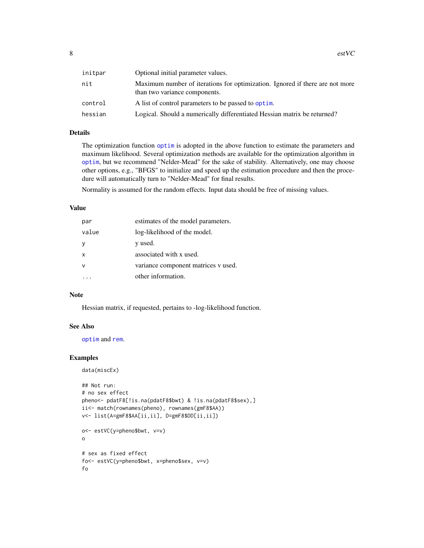<span id="page-7-0"></span>

| initpar | Optional initial parameter values.                                                                            |
|---------|---------------------------------------------------------------------------------------------------------------|
| nit     | Maximum number of iterations for optimization. Ignored if there are not more<br>than two variance components. |
| control | A list of control parameters to be passed to optim.                                                           |
| hessian | Logical. Should a numerically differentiated Hessian matrix be returned?                                      |
|         |                                                                                                               |

# Details

The optimization function [optim](#page-0-0) is adopted in the above function to estimate the parameters and maximum likelihood. Several optimization methods are available for the optimization algorithm in [optim](#page-0-0), but we recommend "Nelder-Mead" for the sake of stability. Alternatively, one may choose other options, e.g., "BFGS" to initialize and speed up the estimation procedure and then the procedure will automatically turn to "Nelder-Mead" for final results.

Normality is assumed for the random effects. Input data should be free of missing values.

#### Value

| par    | estimates of the model parameters.  |
|--------|-------------------------------------|
| value  | log-likelihood of the model.        |
| У      | y used.                             |
| X      | associated with x used.             |
| $\vee$ | variance component matrices v used. |
|        | other information.                  |

#### Note

Hessian matrix, if requested, pertains to -log-likelihood function.

# See Also

[optim](#page-0-0) and [rem](#page-32-1).

```
data(miscEx)
```

```
## Not run:
# no sex effect
pheno<- pdatF8[!is.na(pdatF8$bwt) & !is.na(pdatF8$sex),]
ii<- match(rownames(pheno), rownames(gmF8$AA))
v<- list(A=gmF8$AA[ii,ii], D=gmF8$DD[ii,ii])
o<- estVC(y=pheno$bwt, v=v)
o
# sex as fixed effect
fo<- estVC(y=pheno$bwt, x=pheno$sex, v=v)
fo
```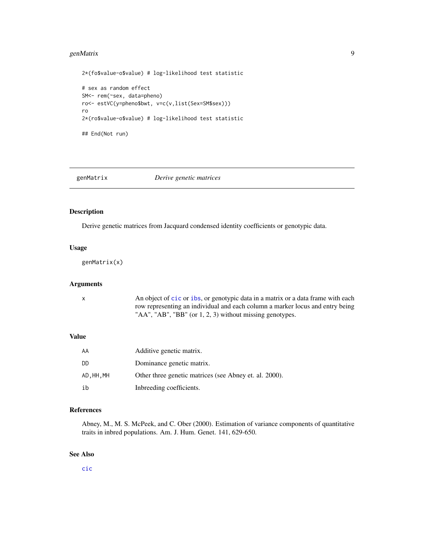# <span id="page-8-0"></span>genMatrix 9

```
2*(fo$value-o$value) # log-likelihood test statistic
# sex as random effect
SM<- rem(~sex, data=pheno)
ro<- estVC(y=pheno$bwt, v=c(v,list(Sex=SM$sex)))
ro
2*(ro$value-o$value) # log-likelihood test statistic
## End(Not run)
```
<span id="page-8-1"></span>

# genMatrix *Derive genetic matrices*

# Description

Derive genetic matrices from Jacquard condensed identity coefficients or genotypic data.

#### Usage

genMatrix(x)

# Arguments

x An object of [cic](#page-4-1) or [ibs](#page-16-1), or genotypic data in a matrix or a data frame with each row representing an individual and each column a marker locus and entry being "AA", "AB", "BB" (or 1, 2, 3) without missing genotypes.

# Value

| AA         | Additive genetic matrix.                               |
|------------|--------------------------------------------------------|
| DD.        | Dominance genetic matrix.                              |
| AD, HH, MH | Other three genetic matrices (see Abney et. al. 2000). |
| ih         | Inbreeding coefficients.                               |

# References

Abney, M., M. S. McPeek, and C. Ober (2000). Estimation of variance components of quantitative traits in inbred populations. Am. J. Hum. Genet. 141, 629-650.

# See Also

[cic](#page-4-1)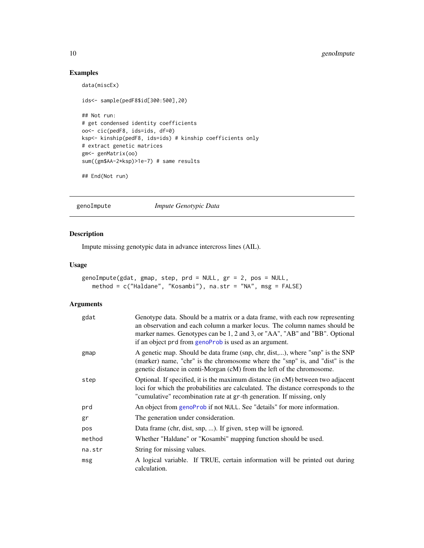# Examples

```
data(miscEx)
ids<- sample(pedF8$id[300:500],20)
## Not run:
# get condensed identity coefficients
oo<- cic(pedF8, ids=ids, df=0)
ksp<- kinship(pedF8, ids=ids) # kinship coefficients only
# extract genetic matrices
gm<- genMatrix(oo)
sum((gm$AA-2*ksp)>1e-7) # same results
## End(Not run)
```
<span id="page-9-1"></span>genoImpute *Impute Genotypic Data*

# Description

Impute missing genotypic data in advance intercross lines (AIL).

#### Usage

```
genoImpute(gdat, gmap, step, prd = NULL, gr = 2, pos = NULL,
   method = c("Haldane", "Kosambi"), na.str = "NA", msg = FALSE)
```
# Arguments

| gdat   | Genotype data. Should be a matrix or a data frame, with each row representing<br>an observation and each column a marker locus. The column names should be<br>marker names. Genotypes can be 1, 2 and 3, or "AA", "AB" and "BB". Optional<br>if an object prd from genoProb is used as an argument. |
|--------|-----------------------------------------------------------------------------------------------------------------------------------------------------------------------------------------------------------------------------------------------------------------------------------------------------|
| gmap   | A genetic map. Should be data frame (snp, chr, dist,), where "snp" is the SNP<br>(marker) name, "chr" is the chromosome where the "snp" is, and "dist" is the<br>genetic distance in centi-Morgan (cM) from the left of the chromosome.                                                             |
| step   | Optional. If specified, it is the maximum distance (in cM) between two adjacent<br>loci for which the probabilities are calculated. The distance corresponds to the<br>"cumulative" recombination rate at gr-th generation. If missing, only                                                        |
| prd    | An object from genoProb if not NULL. See "details" for more information.                                                                                                                                                                                                                            |
| gr     | The generation under consideration.                                                                                                                                                                                                                                                                 |
| pos    | Data frame (chr, dist, snp, ). If given, step will be ignored.                                                                                                                                                                                                                                      |
| method | Whether "Haldane" or "Kosambi" mapping function should be used.                                                                                                                                                                                                                                     |
| na.str | String for missing values.                                                                                                                                                                                                                                                                          |
| msg    | A logical variable. If TRUE, certain information will be printed out during<br>calculation.                                                                                                                                                                                                         |

<span id="page-9-0"></span>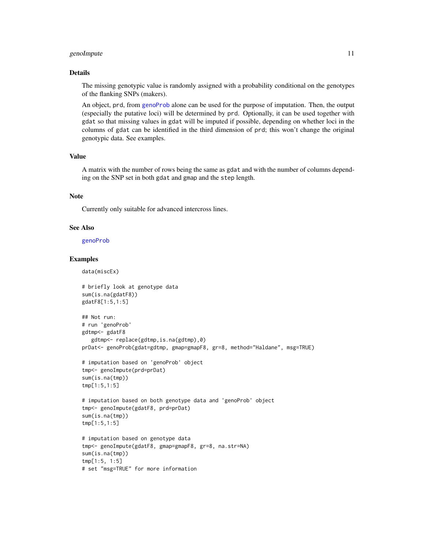#### <span id="page-10-0"></span>genoImpute 11

#### Details

The missing genotypic value is randomly assigned with a probability conditional on the genotypes of the flanking SNPs (makers).

An object, prd, from [genoProb](#page-11-1) alone can be used for the purpose of imputation. Then, the output (especially the putative loci) will be determined by prd. Optionally, it can be used together with gdat so that missing values in gdat will be imputed if possible, depending on whether loci in the columns of gdat can be identified in the third dimension of prd; this won't change the original genotypic data. See examples.

#### Value

A matrix with the number of rows being the same as gdat and with the number of columns depending on the SNP set in both gdat and gmap and the step length.

# Note

Currently only suitable for advanced intercross lines.

#### See Also

[genoProb](#page-11-1)

#### Examples

data(miscEx)

```
# briefly look at genotype data
sum(is.na(gdatF8))
gdatF8[1:5,1:5]
## Not run:
# run 'genoProb'
gdtmp<- gdatF8
   gdtmp<- replace(gdtmp,is.na(gdtmp),0)
prDat<- genoProb(gdat=gdtmp, gmap=gmapF8, gr=8, method="Haldane", msg=TRUE)
# imputation based on 'genoProb' object
tmp<- genoImpute(prd=prDat)
sum(is.na(tmp))
tmp[1:5,1:5]
# imputation based on both genotype data and 'genoProb' object
tmp<- genoImpute(gdatF8, prd=prDat)
sum(is.na(tmp))
tmp[1:5,1:5]
# imputation based on genotype data
tmp<- genoImpute(gdatF8, gmap=gmapF8, gr=8, na.str=NA)
sum(is.na(tmp))
tmp[1:5, 1:5]
# set "msg=TRUE" for more information
```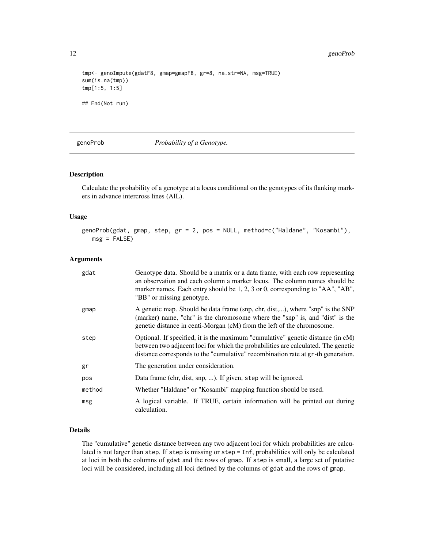<span id="page-11-0"></span>12 genoProb

```
tmp<- genoImpute(gdatF8, gmap=gmapF8, gr=8, na.str=NA, msg=TRUE)
sum(is.na(tmp))
tmp[1:5, 1:5]
## End(Not run)
```
# <span id="page-11-1"></span>genoProb *Probability of a Genotype.*

#### Description

Calculate the probability of a genotype at a locus conditional on the genotypes of its flanking markers in advance intercross lines (AIL).

# Usage

genoProb(gdat, gmap, step, gr = 2, pos = NULL, method=c("Haldane", "Kosambi"),  $msg = FALSE)$ 

#### Arguments

| gdat   | Genotype data. Should be a matrix or a data frame, with each row representing<br>an observation and each column a marker locus. The column names should be<br>marker names. Each entry should be 1, 2, 3 or 0, corresponding to "AA", "AB",<br>"BB" or missing genotype. |
|--------|--------------------------------------------------------------------------------------------------------------------------------------------------------------------------------------------------------------------------------------------------------------------------|
| gmap   | A genetic map. Should be data frame (snp, chr, dist,), where "snp" is the SNP<br>(marker) name, "chr" is the chromosome where the "snp" is, and "dist" is the<br>genetic distance in centi-Morgan (cM) from the left of the chromosome.                                  |
| step   | Optional. If specified, it is the maximum "cumulative" genetic distance (in cM)<br>between two adjacent loci for which the probabilities are calculated. The genetic<br>distance corresponds to the "cumulative" recombination rate at gr-th generation.                 |
| gr     | The generation under consideration.                                                                                                                                                                                                                                      |
| pos    | Data frame (chr, dist, snp, ). If given, step will be ignored.                                                                                                                                                                                                           |
| method | Whether "Haldane" or "Kosambi" mapping function should be used.                                                                                                                                                                                                          |
| msg    | A logical variable. If TRUE, certain information will be printed out during<br>calculation.                                                                                                                                                                              |

# Details

The "cumulative" genetic distance between any two adjacent loci for which probabilities are calculated is not larger than step. If step is missing or step = Inf, probabilities will only be calculated at loci in both the columns of gdat and the rows of gmap. If step is small, a large set of putative loci will be considered, including all loci defined by the columns of gdat and the rows of gmap.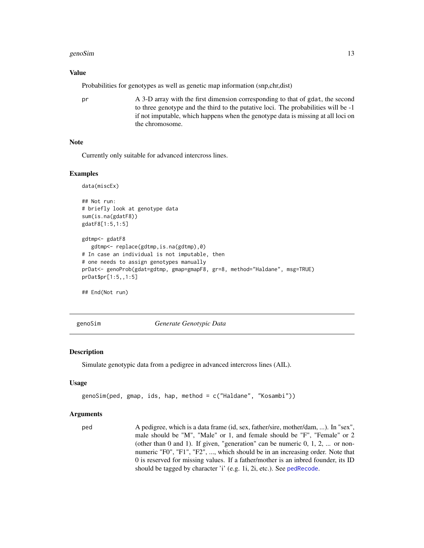#### <span id="page-12-0"></span>genoSim and the set of the set of the set of the set of the set of the set of the set of the set of the set of the set of the set of the set of the set of the set of the set of the set of the set of the set of the set of t

#### Value

Probabilities for genotypes as well as genetic map information (snp,chr,dist)

pr A 3-D array with the first dimension corresponding to that of gdat, the second to three genotype and the third to the putative loci. The probabilities will be -1 if not imputable, which happens when the genotype data is missing at all loci on the chromosome.

#### Note

Currently only suitable for advanced intercross lines.

#### Examples

```
data(miscEx)
## Not run:
# briefly look at genotype data
sum(is.na(gdatF8))
gdatF8[1:5,1:5]
gdtmp<- gdatF8
  gdtmp<- replace(gdtmp,is.na(gdtmp),0)
# In case an individual is not imputable, then
# one needs to assign genotypes manually
prDat<- genoProb(gdat=gdtmp, gmap=gmapF8, gr=8, method="Haldane", msg=TRUE)
prDat$pr[1:5,,1:5]
```
## End(Not run)

<span id="page-12-1"></span>genoSim *Generate Genotypic Data*

#### **Description**

Simulate genotypic data from a pedigree in advanced intercross lines (AIL).

#### Usage

```
genoSim(ped, gmap, ids, hap, method = c("Haldane", "Kosambi"))
```
#### Arguments

ped A pedigree, which is a data frame (id, sex, father/sire, mother/dam, ...). In "sex", male should be "M", "Male" or 1, and female should be "F", "Female" or 2 (other than 0 and 1). If given, "generation" can be numeric 0, 1, 2, ... or nonnumeric "F0", "F1", "F2", ..., which should be in an increasing order. Note that 0 is reserved for missing values. If a father/mother is an inbred founder, its ID should be tagged by character 'i' (e.g. 1i, 2i, etc.). See [pedRecode](#page-24-1).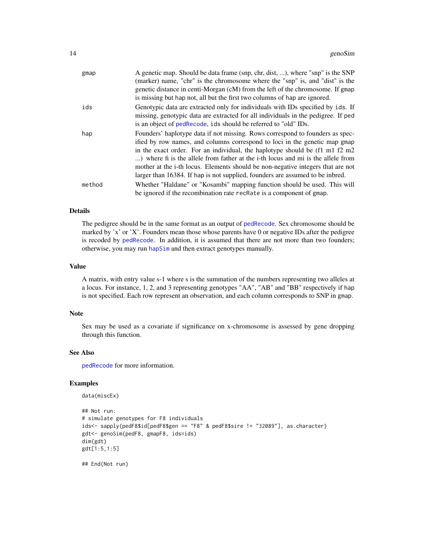<span id="page-13-0"></span>

| gmap   | A genetic map. Should be data frame (snp, chr, dist, ), where "snp" is the SNP<br>(marker) name, "chr" is the chromosome where the "snp" is, and "dist" is the<br>genetic distance in centi-Morgan (cM) from the left of the chromosome. If gmap                                                                                                                                                                                                                                                                                      |
|--------|---------------------------------------------------------------------------------------------------------------------------------------------------------------------------------------------------------------------------------------------------------------------------------------------------------------------------------------------------------------------------------------------------------------------------------------------------------------------------------------------------------------------------------------|
|        | is missing but hap not, all but the first two columns of hap are ignored.                                                                                                                                                                                                                                                                                                                                                                                                                                                             |
| ids    | Genotypic data are extracted only for individuals with IDs specified by ids. If<br>missing, genotypic data are extracted for all individuals in the pedigree. If ped<br>is an object of pedRecode, ids should be referred to "old" IDs.                                                                                                                                                                                                                                                                                               |
| hap    | Founders' haplotype data if not missing. Rows correspond to founders as spec-<br>ified by row names, and columns correspond to loci in the genetic map gmap<br>in the exact order. For an individual, the haplotype should be $(f1 \text{ m}1 f2 \text{ m}2)$<br>) where fi is the allele from father at the <i>i</i> -th locus and mi is the allele from<br>mother at the <i>i</i> -th locus. Elements should be non-negative integers that are not<br>larger than 16384. If hap is not supplied, founders are assumed to be inbred. |
| method | Whether "Haldane" or "Kosambi" mapping function should be used. This will<br>be ignored if the recombination rate recRate is a component of gmap.                                                                                                                                                                                                                                                                                                                                                                                     |

# Details

The pedigree should be in the same format as an output of [pedRecode](#page-24-1). Sex chromosome should be marked by 'x' or 'X'. Founders mean those whose parents have 0 or negative IDs after the pedigree is recoded by [pedRecode](#page-24-1). In addition, it is assumed that there are not more than two founders; otherwise, you may run [hapSim](#page-14-1) and then extract genotypes manually.

#### Value

A matrix, with entry value s-1 where s is the summation of the numbers representing two alleles at a locus. For instance, 1, 2, and 3 representing genotypes "AA", "AB" and "BB" respectively if hap is not specified. Each row represent an observation, and each column corresponds to SNP in gmap.

#### Note

Sex may be used as a covariate if significance on x-chromosome is assessed by gene dropping through this function.

#### See Also

[pedRecode](#page-24-1) for more information.

#### Examples

```
data(miscEx)
```

```
## Not run:
# simulate genotypes for F8 individuals
ids<- sapply(pedF8$id[pedF8$gen == "F8" & pedF8$sire != "32089"], as.character)
gdt<- genoSim(pedF8, gmapF8, ids=ids)
dim(gdt)
gdt[1:5,1:5]
```
## End(Not run)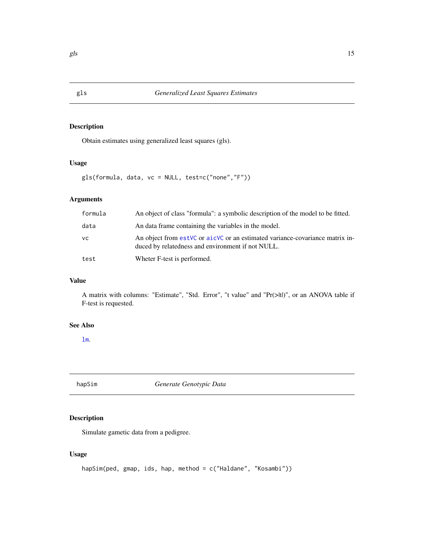# Description

Obtain estimates using generalized least squares (gls).

#### Usage

gls(formula, data, vc = NULL, test=c("none","F"))

# Arguments

| formula | An object of class "formula": a symbolic description of the model to be fitted.                                                   |
|---------|-----------------------------------------------------------------------------------------------------------------------------------|
| data    | An data frame containing the variables in the model.                                                                              |
| VC.     | An object from estVC or aicVC or an estimated variance-covariance matrix in-<br>duced by relatedness and environment if not NULL. |
| test    | Wheter F-test is performed.                                                                                                       |

## Value

A matrix with columns: "Estimate", "Std. Error", "t value" and "Pr(>|t|)", or an ANOVA table if F-test is requested.

#### See Also

[lm](#page-0-0).

<span id="page-14-1"></span>hapSim *Generate Genotypic Data*

# Description

Simulate gametic data from a pedigree.

# Usage

```
hapSim(ped, gmap, ids, hap, method = c("Haldane", "Kosambi"))
```
<span id="page-14-0"></span>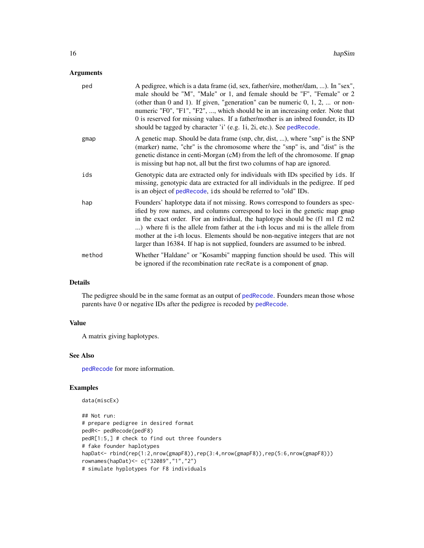# <span id="page-15-0"></span>Arguments

| ped    | A pedigree, which is a data frame (id, sex, father/sire, mother/dam, ). In "sex",<br>male should be "M", "Male" or 1, and female should be "F", "Female" or 2<br>(other than 0 and 1). If given, "generation" can be numeric $0, 1, 2, $ or non-<br>numeric "F0", "F1", "F2", , which should be in an increasing order. Note that<br>0 is reserved for missing values. If a father/mother is an inbred founder, its ID<br>should be tagged by character 'i' (e.g. 1i, 2i, etc.). See pedRecode.    |
|--------|----------------------------------------------------------------------------------------------------------------------------------------------------------------------------------------------------------------------------------------------------------------------------------------------------------------------------------------------------------------------------------------------------------------------------------------------------------------------------------------------------|
| gmap   | A genetic map. Should be data frame (snp, chr, dist, ), where "snp" is the SNP<br>(marker) name, "chr" is the chromosome where the "snp" is, and "dist" is the<br>genetic distance in centi-Morgan (cM) from the left of the chromosome. If gmap<br>is missing but hap not, all but the first two columns of hap are ignored.                                                                                                                                                                      |
| ids    | Genotypic data are extracted only for individuals with IDs specified by ids. If<br>missing, genotypic data are extracted for all individuals in the pedigree. If ped<br>is an object of pedRecode, ids should be referred to "old" IDs.                                                                                                                                                                                                                                                            |
| hap    | Founders' haplotype data if not missing. Rows correspond to founders as spec-<br>ified by row names, and columns correspond to loci in the genetic map gmap<br>in the exact order. For an individual, the haplotype should be (f1 m1 f2 m2<br>) where fi is the allele from father at the i-th locus and mi is the allele from<br>mother at the i-th locus. Elements should be non-negative integers that are not<br>larger than 16384. If hap is not supplied, founders are assumed to be inbred. |
| method | Whether "Haldane" or "Kosambi" mapping function should be used. This will<br>be ignored if the recombination rate recRate is a component of gmap.                                                                                                                                                                                                                                                                                                                                                  |

# Details

The pedigree should be in the same format as an output of [pedRecode](#page-24-1). Founders mean those whose parents have 0 or negative IDs after the pedigree is recoded by [pedRecode](#page-24-1).

# Value

A matrix giving haplotypes.

# See Also

[pedRecode](#page-24-1) for more information.

```
data(miscEx)
```

```
## Not run:
# prepare pedigree in desired format
pedR<- pedRecode(pedF8)
pedR[1:5,] # check to find out three founders
# fake founder haplotypes
hapDat<- rbind(rep(1:2,nrow(gmapF8)),rep(3:4,nrow(gmapF8)),rep(5:6,nrow(gmapF8)))
rownames(hapDat)<- c("32089","1","2")
# simulate hyplotypes for F8 individuals
```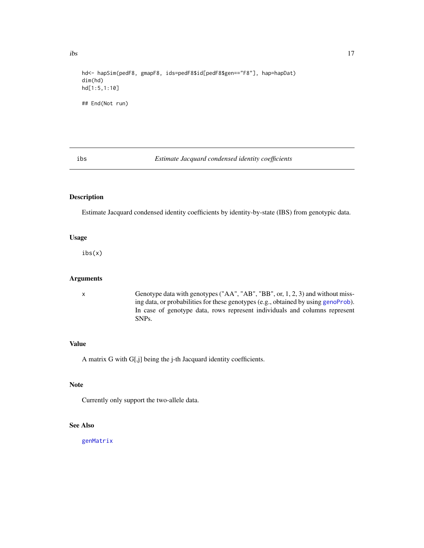<span id="page-16-0"></span> $\frac{17}{2}$ 

```
hd<- hapSim(pedF8, gmapF8, ids=pedF8$id[pedF8$gen=="F8"], hap=hapDat)
dim(hd)
hd[1:5,1:10]
## End(Not run)
```
#### <span id="page-16-1"></span>ibs *Estimate Jacquard condensed identity coefficients*

#### Description

Estimate Jacquard condensed identity coefficients by identity-by-state (IBS) from genotypic data.

# Usage

ibs(x)

#### Arguments

x Genotype data with genotypes ("AA", "AB", "BB", or, 1, 2, 3) and without missing data, or probabilities for these genotypes (e.g., obtained by using [genoProb](#page-11-1)). In case of genotype data, rows represent individuals and columns represent SNPs.

#### Value

A matrix G with G[,j] being the j-th Jacquard identity coefficients.

# Note

Currently only support the two-allele data.

#### See Also

[genMatrix](#page-8-1)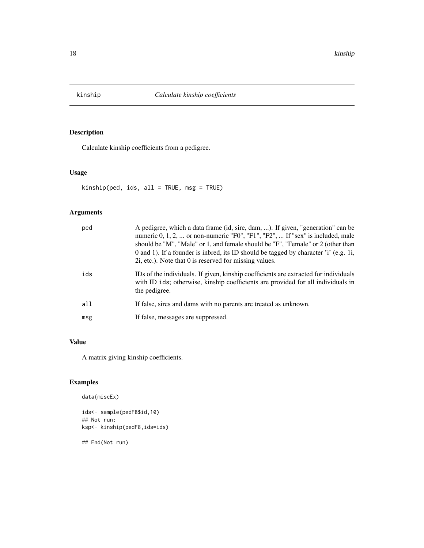<span id="page-17-0"></span>

# Description

Calculate kinship coefficients from a pedigree.

# Usage

kinship(ped, ids, all = TRUE, msg = TRUE)

# Arguments

| ped | A pedigree, which a data frame (id, sire, dam, ). If given, "generation" can be<br>numeric 0, 1, 2,  or non-numeric "F0", "F1", "F2",  If "sex" is included, male<br>should be "M", "Male" or 1, and female should be "F", "Female" or 2 (other than<br>0 and 1). If a founder is inbred, its ID should be tagged by character 'i' (e.g. 1i,<br>2i, etc.). Note that 0 is reserved for missing values. |
|-----|--------------------------------------------------------------------------------------------------------------------------------------------------------------------------------------------------------------------------------------------------------------------------------------------------------------------------------------------------------------------------------------------------------|
| ids | IDs of the individuals. If given, kinship coefficients are extracted for individuals<br>with ID ids; otherwise, kinship coefficients are provided for all individuals in<br>the pedigree.                                                                                                                                                                                                              |
| all | If false, sires and dams with no parents are treated as unknown.                                                                                                                                                                                                                                                                                                                                       |
| msg | If false, messages are suppressed.                                                                                                                                                                                                                                                                                                                                                                     |

# Value

A matrix giving kinship coefficients.

# Examples

```
data(miscEx)
```
ids<- sample(pedF8\$id,10) ## Not run: ksp<- kinship(pedF8,ids=ids)

## End(Not run)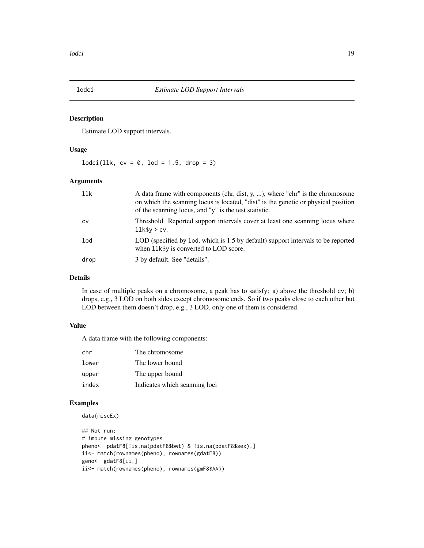<span id="page-18-0"></span>

#### Description

Estimate LOD support intervals.

#### Usage

 $lodci(llk, cv = 0, lod = 1.5, drop = 3)$ 

# Arguments

| 11k       | A data frame with components (chr, dist, y, ), where "chr" is the chromosome<br>on which the scanning locus is located, "dist" is the genetic or physical position<br>of the scanning locus, and "y" is the test statistic. |
|-----------|-----------------------------------------------------------------------------------------------------------------------------------------------------------------------------------------------------------------------------|
| <b>CV</b> | Threshold. Reported support intervals cover at least one scanning locus where<br>$11k$ \$y > cv.                                                                                                                            |
| lod       | LOD (specified by 1od, which is 1.5 by default) support intervals to be reported<br>when 11k\$y is converted to LOD score.                                                                                                  |
| drop      | 3 by default. See "details".                                                                                                                                                                                                |

# Details

In case of multiple peaks on a chromosome, a peak has to satisfy: a) above the threshold cv; b) drops, e.g., 3 LOD on both sides except chromosome ends. So if two peaks close to each other but LOD between them doesn't drop, e.g., 3 LOD, only one of them is considered.

# Value

A data frame with the following components:

| chr   | The chromosome                |
|-------|-------------------------------|
| lower | The lower bound               |
| upper | The upper bound               |
| index | Indicates which scanning loci |

```
data(miscEx)
```

```
## Not run:
# impute missing genotypes
pheno<- pdatF8[!is.na(pdatF8$bwt) & !is.na(pdatF8$sex),]
ii<- match(rownames(pheno), rownames(gdatF8))
geno<- gdatF8[ii,]
ii<- match(rownames(pheno), rownames(gmF8$AA))
```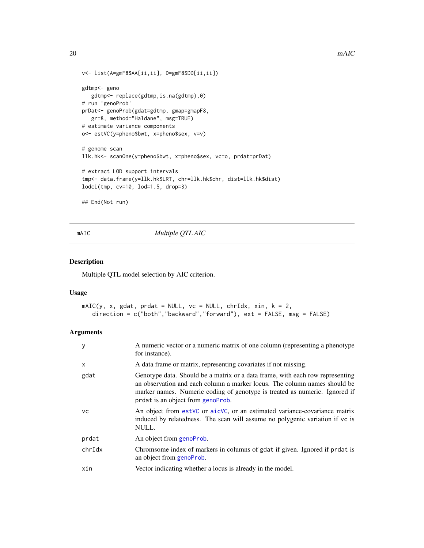```
v<- list(A=gmF8$AA[ii,ii], D=gmF8$DD[ii,ii])
gdtmp<- geno
  gdtmp<- replace(gdtmp,is.na(gdtmp),0)
# run 'genoProb'
prDat<- genoProb(gdat=gdtmp, gmap=gmapF8,
  gr=8, method="Haldane", msg=TRUE)
# estimate variance components
o<- estVC(y=pheno$bwt, x=pheno$sex, v=v)
# genome scan
llk.hk<- scanOne(y=pheno$bwt, x=pheno$sex, vc=o, prdat=prDat)
# extract LOD support intervals
tmp<- data.frame(y=llk.hk$LRT, chr=llk.hk$chr, dist=llk.hk$dist)
lodci(tmp, cv=10, lod=1.5, drop=3)
## End(Not run)
```
mAIC *Multiple QTL AIC*

# Description

Multiple QTL model selection by AIC criterion.

# Usage

```
mAIC(y, x, gdat, prdat = NULL, vc = NULL, chrIdx, xin, k = 2,direction = c("both","backward","forward"), ext = FALSE, msg = FALSE)
```
#### Arguments

| у         | A numeric vector or a numeric matrix of one column (representing a phenotype)<br>for instance).                                                                                                                                                                               |
|-----------|-------------------------------------------------------------------------------------------------------------------------------------------------------------------------------------------------------------------------------------------------------------------------------|
| x         | A data frame or matrix, representing covariates if not missing.                                                                                                                                                                                                               |
| gdat      | Genotype data. Should be a matrix or a data frame, with each row representing<br>an observation and each column a marker locus. The column names should be<br>marker names. Numeric coding of genotype is treated as numeric. Ignored if<br>prdat is an object from genoProb. |
| <b>VC</b> | An object from estVC or aicVC, or an estimated variance-covariance matrix<br>induced by relatedness. The scan will assume no polygenic variation if yc is<br>NULL.                                                                                                            |
| prdat     | An object from genoProb.                                                                                                                                                                                                                                                      |
| chrIdx    | Chromsome index of markers in columns of gdat if given. Ignored if prdat is<br>an object from genoProb.                                                                                                                                                                       |
| xin       | Vector indicating whether a locus is already in the model.                                                                                                                                                                                                                    |
|           |                                                                                                                                                                                                                                                                               |

<span id="page-19-0"></span>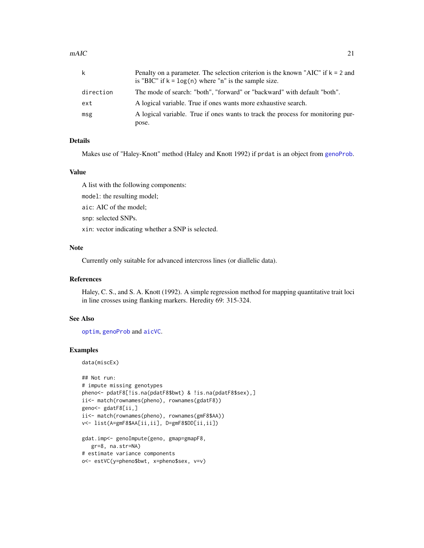#### <span id="page-20-0"></span> $mAIC$  21

| k         | Penalty on a parameter. The selection criterion is the known "AIC" if $k = 2$ and<br>is "BIC" if $k = log(n)$ where "n" is the sample size. |
|-----------|---------------------------------------------------------------------------------------------------------------------------------------------|
| direction | The mode of search: "both", "forward" or "backward" with default "both".                                                                    |
| ext       | A logical variable. True if ones wants more exhaustive search.                                                                              |
| msg       | A logical variable. True if ones wants to track the process for monitoring pur-                                                             |
|           | pose.                                                                                                                                       |

# Details

Makes use of "Haley-Knott" method (Haley and Knott 1992) if prdat is an object from [genoProb](#page-11-1).

#### Value

A list with the following components:

model: the resulting model;

aic: AIC of the model;

snp: selected SNPs.

xin: vector indicating whether a SNP is selected.

# Note

Currently only suitable for advanced intercross lines (or diallelic data).

#### References

Haley, C. S., and S. A. Knott (1992). A simple regression method for mapping quantitative trait loci in line crosses using flanking markers. Heredity 69: 315-324.

#### See Also

[optim](#page-0-0), [genoProb](#page-11-1) and [aicVC](#page-1-1).

#### Examples

data(miscEx)

```
## Not run:
# impute missing genotypes
pheno<- pdatF8[!is.na(pdatF8$bwt) & !is.na(pdatF8$sex),]
ii<- match(rownames(pheno), rownames(gdatF8))
geno<- gdatF8[ii,]
ii<- match(rownames(pheno), rownames(gmF8$AA))
v<- list(A=gmF8$AA[ii,ii], D=gmF8$DD[ii,ii])
gdat.imp<- genoImpute(geno, gmap=gmapF8,
  gr=8, na.str=NA)
# estimate variance components
o<- estVC(y=pheno$bwt, x=pheno$sex, v=v)
```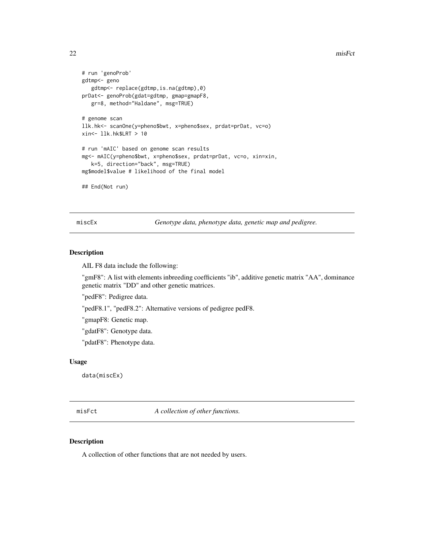```
# run 'genoProb'
gdtmp<- geno
   gdtmp<- replace(gdtmp,is.na(gdtmp),0)
prDat<- genoProb(gdat=gdtmp, gmap=gmapF8,
  gr=8, method="Haldane", msg=TRUE)
# genome scan
llk.hk<- scanOne(y=pheno$bwt, x=pheno$sex, prdat=prDat, vc=o)
xin<- llk.hk$LRT > 10
# run 'mAIC' based on genome scan results
mg<- mAIC(y=pheno$bwt, x=pheno$sex, prdat=prDat, vc=o, xin=xin,
   k=5, direction="back", msg=TRUE)
mg$model$value # likelihood of the final model
## End(Not run)
```
miscEx *Genotype data, phenotype data, genetic map and pedigree.*

#### Description

AIL F8 data include the following:

"gmF8": A list with elements inbreeding coefficients "ib", additive genetic matrix "AA", dominance genetic matrix "DD" and other genetic matrices.

"pedF8": Pedigree data.

"pedF8.1", "pedF8.2": Alternative versions of pedigree pedF8.

"gmapF8: Genetic map.

"gdatF8": Genotype data.

"pdatF8": Phenotype data.

#### Usage

data(miscEx)

misFct *A collection of other functions.*

#### Description

A collection of other functions that are not needed by users.

<span id="page-21-0"></span>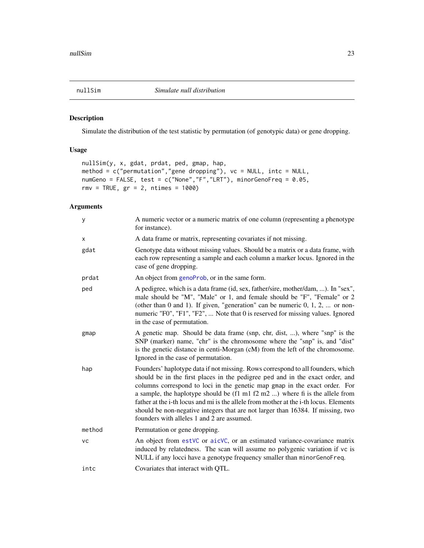<span id="page-22-0"></span>

# Description

Simulate the distribution of the test statistic by permutation (of genotypic data) or gene dropping.

# Usage

```
nullSim(y, x, gdat, prdat, ped, gmap, hap,
method = c("permutation","gene dropping"), vc = NULL, intc = NULL,
numGeno = FALSE, test = c("None","F","LRT"), minorGenoFreq = 0.05,
rmv = TRUE, gr = 2, ntimes = 1000
```
# Arguments

| У         | A numeric vector or a numeric matrix of one column (representing a phenotype)<br>for instance).                                                                                                                                                                                                                                                                                                                                                                                                                                                                                            |
|-----------|--------------------------------------------------------------------------------------------------------------------------------------------------------------------------------------------------------------------------------------------------------------------------------------------------------------------------------------------------------------------------------------------------------------------------------------------------------------------------------------------------------------------------------------------------------------------------------------------|
| X         | A data frame or matrix, representing covariates if not missing.                                                                                                                                                                                                                                                                                                                                                                                                                                                                                                                            |
| gdat      | Genotype data without missing values. Should be a matrix or a data frame, with<br>each row representing a sample and each column a marker locus. Ignored in the<br>case of gene dropping.                                                                                                                                                                                                                                                                                                                                                                                                  |
| prdat     | An object from genoProb, or in the same form.                                                                                                                                                                                                                                                                                                                                                                                                                                                                                                                                              |
| ped       | A pedigree, which is a data frame (id, sex, father/sire, mother/dam, ). In "sex",<br>male should be "M", "Male" or 1, and female should be "F", "Female" or 2<br>(other than 0 and 1). If given, "generation" can be numeric $0, 1, 2, $ or non-<br>numeric "F0", "F1", "F2",  Note that 0 is reserved for missing values. Ignored<br>in the case of permutation.                                                                                                                                                                                                                          |
| gmap      | A genetic map. Should be data frame (snp, chr, dist, ), where "snp" is the<br>SNP (marker) name, "chr" is the chromosome where the "snp" is, and "dist"<br>is the genetic distance in centi-Morgan (cM) from the left of the chromosome.<br>Ignored in the case of permutation.                                                                                                                                                                                                                                                                                                            |
| hap       | Founders' haplotype data if not missing. Rows correspond to all founders, which<br>should be in the first places in the pedigree ped and in the exact order, and<br>columns correspond to loci in the genetic map gmap in the exact order. For<br>a sample, the haplotype should be $(f1 \text{ m}1 f2 \text{ m}2 )$ where fi is the allele from<br>father at the <i>i</i> -th locus and mi is the allele from mother at the <i>i</i> -th locus. Elements<br>should be non-negative integers that are not larger than 16384. If missing, two<br>founders with alleles 1 and 2 are assumed. |
| method    | Permutation or gene dropping.                                                                                                                                                                                                                                                                                                                                                                                                                                                                                                                                                              |
| <b>VC</b> | An object from estVC or aicVC, or an estimated variance-covariance matrix<br>induced by relatedness. The scan will assume no polygenic variation if vc is<br>NULL if any locci have a genotype frequency smaller than minorGenoFreq.                                                                                                                                                                                                                                                                                                                                                       |
| intc      | Covariates that interact with QTL.                                                                                                                                                                                                                                                                                                                                                                                                                                                                                                                                                         |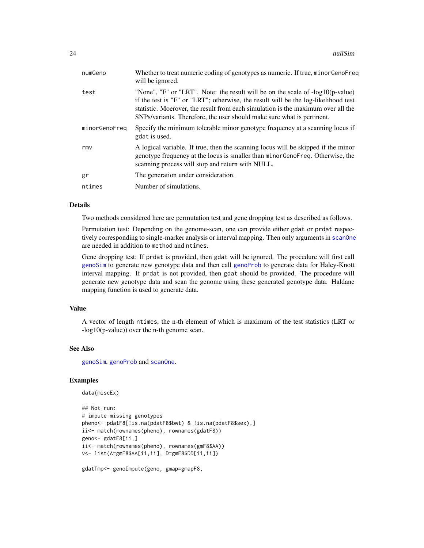<span id="page-23-0"></span>

| numGeno       | Whether to treat numeric coding of genotypes as numeric. If true, minor GenoFreq<br>will be ignored.                                                                                                                                                                                                                               |
|---------------|------------------------------------------------------------------------------------------------------------------------------------------------------------------------------------------------------------------------------------------------------------------------------------------------------------------------------------|
| test          | "None", "F" or "LRT". Note: the result will be on the scale of -log10(p-value)<br>if the test is "F" or "LRT"; otherwise, the result will be the log-likelihood test<br>statistic. Moerover, the result from each simulation is the maximum over all the<br>SNPs/variants. Therefore, the user should make sure what is pertinent. |
| minorGenoFreg | Specify the minimum tolerable minor genotype frequency at a scanning locus if<br>gdat is used.                                                                                                                                                                                                                                     |
| rmy           | A logical variable. If true, then the scanning locus will be skipped if the minor<br>genotype frequency at the locus is smaller than minor GenoFreq. Otherwise, the<br>scanning process will stop and return with NULL.                                                                                                            |
| gr            | The generation under consideration.                                                                                                                                                                                                                                                                                                |
| ntimes        | Number of simulations.                                                                                                                                                                                                                                                                                                             |

#### Details

Two methods considered here are permutation test and gene dropping test as described as follows.

Permutation test: Depending on the genome-scan, one can provide either gdat or prdat respectively corresponding to single-marker analysis or interval mapping. Then only arguments in [scanOne](#page-33-1) are needed in addition to method and ntimes.

Gene dropping test: If prdat is provided, then gdat will be ignored. The procedure will first call [genoSim](#page-12-1) to generate new genotype data and then call [genoProb](#page-11-1) to generate data for Haley-Knott interval mapping. If prdat is not provided, then gdat should be provided. The procedure will generate new genotype data and scan the genome using these generated genotype data. Haldane mapping function is used to generate data.

#### Value

A vector of length ntimes, the n-th element of which is maximum of the test statistics (LRT or -log10(p-value)) over the n-th genome scan.

#### See Also

[genoSim](#page-12-1), [genoProb](#page-11-1) and [scanOne](#page-33-1).

# Examples

```
data(miscEx)
```

```
## Not run:
# impute missing genotypes
pheno<- pdatF8[!is.na(pdatF8$bwt) & !is.na(pdatF8$sex),]
ii<- match(rownames(pheno), rownames(gdatF8))
geno<- gdatF8[ii,]
ii<- match(rownames(pheno), rownames(gmF8$AA))
v<- list(A=gmF8$AA[ii,ii], D=gmF8$DD[ii,ii])
```
gdatTmp<- genoImpute(geno, gmap=gmapF8,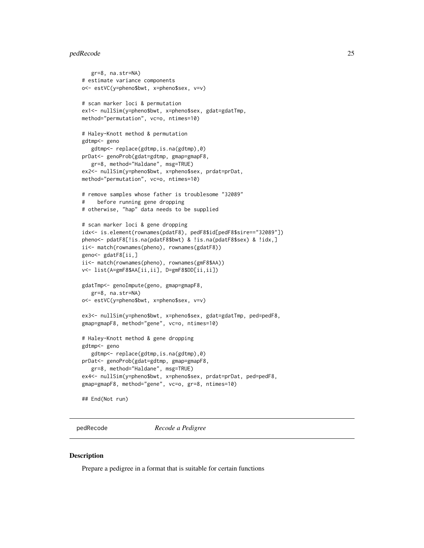#### <span id="page-24-0"></span>pedRecode 25

```
gr=8, na.str=NA)
# estimate variance components
o<- estVC(y=pheno$bwt, x=pheno$sex, v=v)
# scan marker loci & permutation
ex1<- nullSim(y=pheno$bwt, x=pheno$sex, gdat=gdatTmp,
method="permutation", vc=o, ntimes=10)
# Haley-Knott method & permutation
gdtmp<- geno
   gdtmp<- replace(gdtmp,is.na(gdtmp),0)
prDat<- genoProb(gdat=gdtmp, gmap=gmapF8,
  gr=8, method="Haldane", msg=TRUE)
ex2<- nullSim(y=pheno$bwt, x=pheno$sex, prdat=prDat,
method="permutation", vc=o, ntimes=10)
# remove samples whose father is troublesome "32089"
# before running gene dropping
# otherwise, "hap" data needs to be supplied
# scan marker loci & gene dropping
idx<- is.element(rownames(pdatF8), pedF8$id[pedF8$sire=="32089"])
pheno<- pdatF8[!is.na(pdatF8$bwt) & !is.na(pdatF8$sex) & !idx,]
ii<- match(rownames(pheno), rownames(gdatF8))
geno<- gdatF8[ii,]
ii<- match(rownames(pheno), rownames(gmF8$AA))
v<- list(A=gmF8$AA[ii,ii], D=gmF8$DD[ii,ii])
gdatTmp<- genoImpute(geno, gmap=gmapF8,
  gr=8, na.str=NA)
o<- estVC(y=pheno$bwt, x=pheno$sex, v=v)
ex3<- nullSim(y=pheno$bwt, x=pheno$sex, gdat=gdatTmp, ped=pedF8,
gmap=gmapF8, method="gene", vc=o, ntimes=10)
# Haley-Knott method & gene dropping
gdtmp<- geno
   gdtmp<- replace(gdtmp,is.na(gdtmp),0)
prDat<- genoProb(gdat=gdtmp, gmap=gmapF8,
   gr=8, method="Haldane", msg=TRUE)
ex4<- nullSim(y=pheno$bwt, x=pheno$sex, prdat=prDat, ped=pedF8,
gmap=gmapF8, method="gene", vc=o, gr=8, ntimes=10)
## End(Not run)
```
<span id="page-24-1"></span>pedRecode *Recode a Pedigree*

#### **Description**

Prepare a pedigree in a format that is suitable for certain functions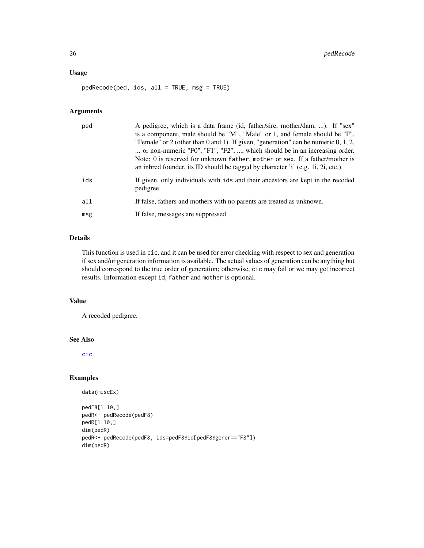# <span id="page-25-0"></span>Usage

pedRecode(ped, ids, all = TRUE, msg = TRUE)

# Arguments

| ped | A pedigree, which is a data frame (id, father/sire, mother/dam, ). If "sex"<br>is a component, male should be "M", "Male" or 1, and female should be "F",<br>"Female" or 2 (other than 0 and 1). If given, "generation" can be numeric $0, 1, 2$ ,<br>or non-numeric "F0", "F1", "F2", , which should be in an increasing order.<br>Note: 0 is reserved for unknown father, mother or sex. If a father/mother is<br>an inbred founder, its ID should be tagged by character 'i' (e.g. 1i, 2i, etc.). |
|-----|------------------------------------------------------------------------------------------------------------------------------------------------------------------------------------------------------------------------------------------------------------------------------------------------------------------------------------------------------------------------------------------------------------------------------------------------------------------------------------------------------|
| ids | If given, only individuals with ids and their ancestors are kept in the recoded<br>pedigree.                                                                                                                                                                                                                                                                                                                                                                                                         |
| all | If false, fathers and mothers with no parents are treated as unknown.                                                                                                                                                                                                                                                                                                                                                                                                                                |
| msg | If false, messages are suppressed.                                                                                                                                                                                                                                                                                                                                                                                                                                                                   |

# Details

This function is used in cic, and it can be used for error checking with respect to sex and generation if sex and/or generation information is available. The actual values of generation can be anything but should correspond to the true order of generation; otherwise, cic may fail or we may get incorrect results. Information except id, father and mother is optional.

#### Value

A recoded pedigree.

# See Also

[cic](#page-4-1).

```
data(miscEx)
```

```
pedF8[1:10,]
pedR<- pedRecode(pedF8)
pedR[1:10,]
dim(pedR)
pedR<- pedRecode(pedF8, ids=pedF8$id[pedF8$gener=="F8"])
dim(pedR)
```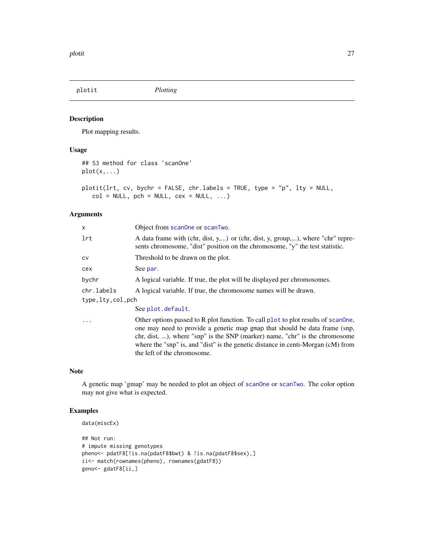<span id="page-26-0"></span>plotit *Plotting*

# <span id="page-26-1"></span>Description

Plot mapping results.

#### Usage

```
## S3 method for class 'scanOne'
plot(x,...)
plotit(lrt, cv, bychr = FALSE, chr.labels = TRUE, type = "p", lty = NULL,
   col = NULL, pch = NULL, cex = NULL, ...
```
#### Arguments

| x                | Object from scanone or scanTwo.                                                                                                                                                                                                                                                                                                                                   |
|------------------|-------------------------------------------------------------------------------------------------------------------------------------------------------------------------------------------------------------------------------------------------------------------------------------------------------------------------------------------------------------------|
| lrt              | A data frame with (chr, dist, y,) or (chr, dist, y, group,), where "chr" repre-<br>sents chromosome, "dist" position on the chromosome, "y" the test statistic.                                                                                                                                                                                                   |
| CV               | Threshold to be drawn on the plot.                                                                                                                                                                                                                                                                                                                                |
| cex              | See par.                                                                                                                                                                                                                                                                                                                                                          |
| bychr            | A logical variable. If true, the plot will be displayed per chromosomes.                                                                                                                                                                                                                                                                                          |
| chr.labels       | A logical variable. If true, the chromosome names will be drawn.                                                                                                                                                                                                                                                                                                  |
| type,lty,col,pch |                                                                                                                                                                                                                                                                                                                                                                   |
|                  | See plot.default.                                                                                                                                                                                                                                                                                                                                                 |
| .                | Other options passed to R plot function. To call plot to plot results of scanone,<br>one may need to provide a genetic map gmap that should be data frame (snp,<br>chr, dist, ), where "snp" is the SNP (marker) name, "chr" is the chromosome<br>where the "snp" is, and "dist" is the genetic distance in centi-Morgan (cM) from<br>the left of the chromosome. |

# Note

A genetic map 'gmap' may be needed to plot an object of [scanOne](#page-33-1) or [scanTwo](#page-35-1). The color option may not give what is expected.

```
data(miscEx)
```

```
## Not run:
# impute missing genotypes
pheno<- pdatF8[!is.na(pdatF8$bwt) & !is.na(pdatF8$sex),]
ii<- match(rownames(pheno), rownames(gdatF8))
geno<- gdatF8[ii,]
```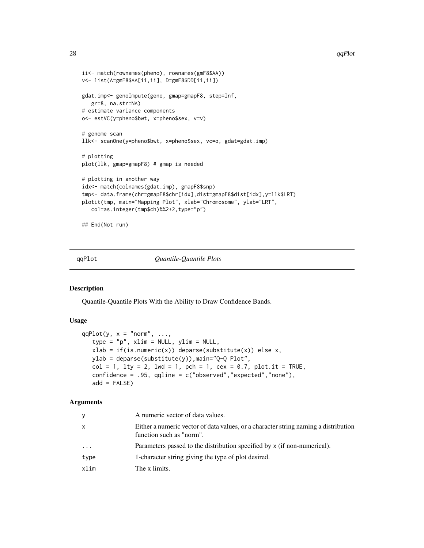```
ii<- match(rownames(pheno), rownames(gmF8$AA))
v<- list(A=gmF8$AA[ii,ii], D=gmF8$DD[ii,ii])
gdat.imp<- genoImpute(geno, gmap=gmapF8, step=Inf,
   gr=8, na.str=NA)
# estimate variance components
o<- estVC(y=pheno$bwt, x=pheno$sex, v=v)
# genome scan
llk<- scanOne(y=pheno$bwt, x=pheno$sex, vc=o, gdat=gdat.imp)
# plotting
plot(llk, gmap=gmapF8) # gmap is needed
# plotting in another way
idx<- match(colnames(gdat.imp), gmapF8$snp)
tmp<- data.frame(chr=gmapF8$chr[idx],dist=gmapF8$dist[idx],y=llk$LRT)
plotit(tmp, main="Mapping Plot", xlab="Chromosome", ylab="LRT",
   col=as.integer(tmp$ch)%%2+2,type="p")
## End(Not run)
```
qqPlot *Quantile-Quantile Plots*

#### Description

Quantile-Quantile Plots With the Ability to Draw Confidence Bands.

#### Usage

```
qqPlot(y, x = "norm", ...,type = "p", xlim = NULL, ylim = NULL,
   xlab = if(is.numeric(x)) deparse(substitute(x)) else x,
  ylab = deparse(substitute(y)),main="Q-Q Plot",
  col = 1, lty = 2, lwd = 1, pch = 1, cex = 0.7, plot.it = TRUE,
  confidence = .95, qqline = c("observed","expected","none"),
   add = FALSE)
```
# Arguments

| V        | A numeric vector of data values.                                                                                |
|----------|-----------------------------------------------------------------------------------------------------------------|
| x        | Either a numeric vector of data values, or a character string naming a distribution<br>function such as "norm". |
| $\ddots$ | Parameters passed to the distribution specified by x (if non-numerical).                                        |
| type     | 1-character string giving the type of plot desired.                                                             |
| xlim     | The x limits.                                                                                                   |

<span id="page-27-0"></span>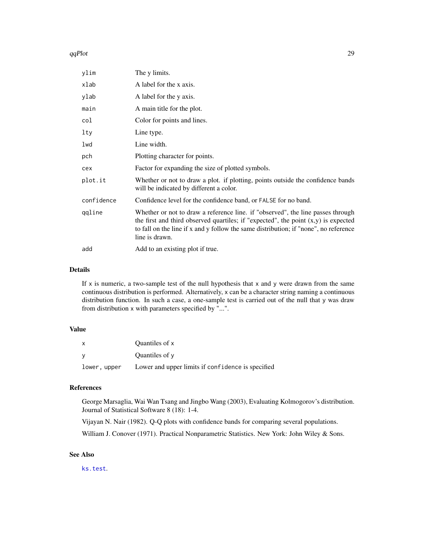#### <span id="page-28-0"></span>qqPlot 29

| ylim       | The y limits.                                                                                                                                                                                                                                                                     |
|------------|-----------------------------------------------------------------------------------------------------------------------------------------------------------------------------------------------------------------------------------------------------------------------------------|
| xlab       | A label for the x axis.                                                                                                                                                                                                                                                           |
| ylab       | A label for the y axis.                                                                                                                                                                                                                                                           |
| main       | A main title for the plot.                                                                                                                                                                                                                                                        |
| col        | Color for points and lines.                                                                                                                                                                                                                                                       |
| lty        | Line type.                                                                                                                                                                                                                                                                        |
| lwd        | Line width.                                                                                                                                                                                                                                                                       |
| pch        | Plotting character for points.                                                                                                                                                                                                                                                    |
| cex        | Factor for expanding the size of plotted symbols.                                                                                                                                                                                                                                 |
| plot.it    | Whether or not to draw a plot. if plotting, points outside the confidence bands<br>will be indicated by different a color.                                                                                                                                                        |
| confidence | Confidence level for the confidence band, or FALSE for no band.                                                                                                                                                                                                                   |
| qqline     | Whether or not to draw a reference line. if "observed", the line passes through<br>the first and third observed quartiles; if "expected", the point $(x,y)$ is expected<br>to fall on the line if x and y follow the same distribution; if "none", no reference<br>line is drawn. |
| add        | Add to an existing plot if true.                                                                                                                                                                                                                                                  |

#### Details

If  $x$  is numeric, a two-sample test of the null hypothesis that  $x$  and  $y$  were drawn from the same continuous distribution is performed. Alternatively, x can be a character string naming a continuous distribution function. In such a case, a one-sample test is carried out of the null that y was draw from distribution x with parameters specified by "...".

#### Value

| X            | Quantiles of x                                    |
|--------------|---------------------------------------------------|
|              | Quantiles of y                                    |
| lower, upper | Lower and upper limits if confidence is specified |

# References

George Marsaglia, Wai Wan Tsang and Jingbo Wang (2003), Evaluating Kolmogorov's distribution. Journal of Statistical Software 8 (18): 1-4.

Vijayan N. Nair (1982). Q-Q plots with confidence bands for comparing several populations.

William J. Conover (1971). Practical Nonparametric Statistics. New York: John Wiley & Sons.

# See Also

[ks.test](#page-0-0).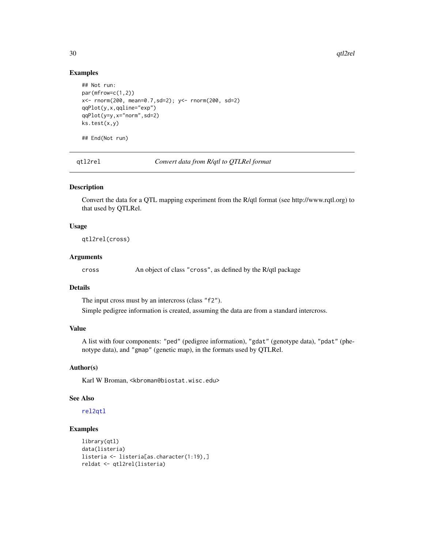30 qtl2rel

#### Examples

```
## Not run:
par(mfrow=c(1,2))
x<- rnorm(200, mean=0.7,sd=2); y<- rnorm(200, sd=2)
qqPlot(y,x,qqline="exp")
qqPlot(y=y,x="norm",sd=2)
ks.test(x,y)
## End(Not run)
```
<span id="page-29-1"></span>qtl2rel *Convert data from R/qtl to QTLRel format*

# Description

Convert the data for a QTL mapping experiment from the R/qtl format (see http://www.rqtl.org) to that used by QTLRel.

#### Usage

qtl2rel(cross)

#### Arguments

cross An object of class "cross", as defined by the R/qtl package

#### Details

The input cross must by an intercross (class "f2").

Simple pedigree information is created, assuming the data are from a standard intercross.

# Value

A list with four components: "ped" (pedigree information), "gdat" (genotype data), "pdat" (phenotype data), and "gmap" (genetic map), in the formats used by QTLRel.

#### Author(s)

Karl W Broman, <kbroman@biostat.wisc.edu>

#### See Also

[rel2qtl](#page-31-1)

```
library(qtl)
data(listeria)
listeria <- listeria[as.character(1:19),]
reldat <- qtl2rel(listeria)
```
<span id="page-29-0"></span>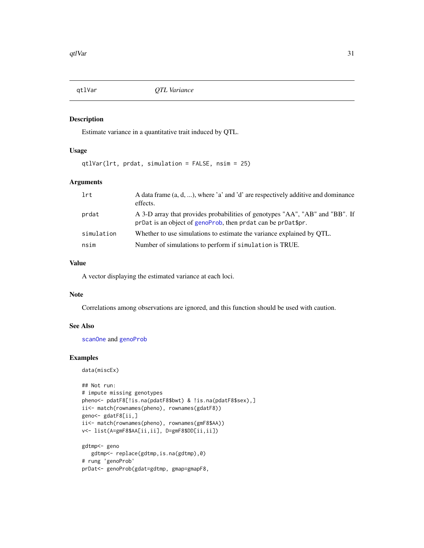<span id="page-30-0"></span>

# Description

Estimate variance in a quantitative trait induced by QTL.

# Usage

```
qtlVar(lrt, prdat, simulation = FALSE, nsim = 25)
```
# Arguments

| lrt        | A data frame $(a, d, )$ , where 'a' and 'd' are respectively additive and dominance<br>effects.                                              |
|------------|----------------------------------------------------------------------------------------------------------------------------------------------|
| prdat      | A 3-D array that provides probabilities of genotypes "AA", "AB" and "BB". If<br>prDat is an object of genoProb, then prdat can be prDat\$pr. |
| simulation | Whether to use simulations to estimate the variance explained by OTL.                                                                        |
| nsim       | Number of simulations to perform if simulation is TRUE.                                                                                      |

## Value

A vector displaying the estimated variance at each loci.

#### Note

Correlations among observations are ignored, and this function should be used with caution.

# See Also

[scanOne](#page-33-1) and [genoProb](#page-11-1)

```
data(miscEx)
```

```
## Not run:
# impute missing genotypes
pheno<- pdatF8[!is.na(pdatF8$bwt) & !is.na(pdatF8$sex),]
ii<- match(rownames(pheno), rownames(gdatF8))
geno<- gdatF8[ii,]
ii<- match(rownames(pheno), rownames(gmF8$AA))
v<- list(A=gmF8$AA[ii,ii], D=gmF8$DD[ii,ii])
gdtmp<- geno
  gdtmp<- replace(gdtmp,is.na(gdtmp),0)
# rung 'genoProb'
prDat<- genoProb(gdat=gdtmp, gmap=gmapF8,
```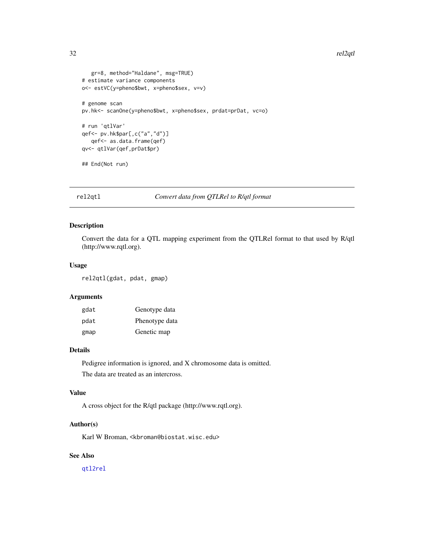```
gr=8, method="Haldane", msg=TRUE)
# estimate variance components
o<- estVC(y=pheno$bwt, x=pheno$sex, v=v)
# genome scan
pv.hk<- scanOne(y=pheno$bwt, x=pheno$sex, prdat=prDat, vc=o)
# run 'qtlVar'
qef<- pv.hk$par[,c("a","d")]
  qef<- as.data.frame(qef)
qv<- qtlVar(qef,prDat$pr)
## End(Not run)
```
<span id="page-31-1"></span>

rel2qtl *Convert data from QTLRel to R/qtl format*

# Description

Convert the data for a QTL mapping experiment from the QTLRel format to that used by R/qtl (http://www.rqtl.org).

#### Usage

rel2qtl(gdat, pdat, gmap)

# Arguments

| gdat | Genotype data  |
|------|----------------|
| pdat | Phenotype data |
| gmap | Genetic map    |

# Details

Pedigree information is ignored, and X chromosome data is omitted. The data are treated as an intercross.

# Value

A cross object for the R/qtl package (http://www.rqtl.org).

# Author(s)

Karl W Broman, <kbroman@biostat.wisc.edu>

# See Also

[qtl2rel](#page-29-1)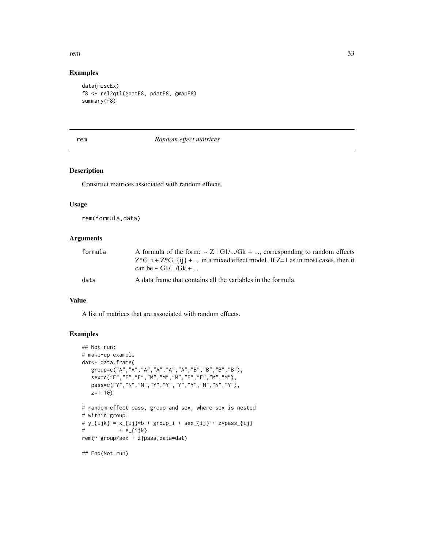#### <span id="page-32-0"></span>rem 33

# Examples

```
data(miscEx)
f8 <- rel2qtl(gdatF8, pdatF8, gmapF8)
summary(f8)
```
# <span id="page-32-1"></span>rem *Random effect matrices*

# Description

Construct matrices associated with random effects.

#### Usage

rem(formula,data)

# Arguments

| formula | A formula of the form: $\sim Z$   G1//Gk + , corresponding to random effects           |
|---------|----------------------------------------------------------------------------------------|
|         | $Z^*G_i + Z^*G_{i}$ {i} +  in a mixed effect model. If $Z=1$ as in most cases, then it |
|         | can be $\sim$ G1//Gk +                                                                 |
| data    | A data frame that contains all the variables in the formula.                           |

#### Value

A list of matrices that are associated with random effects.

```
## Not run:
# make-up example
dat<- data.frame(
   group=c("A","A","A","A","A","A","B","B","B","B"),
   sex=c("F","F","F","M","M","M","F","F","M","M"),
   pass=c("Y","N","N","Y","Y","Y","Y","N","N","Y"),
   z=1:10)
# random effect pass, group and sex, where sex is nested
# within group:
# y_{i} = x_{i} = y_{i} + group<sub>1</sub> + sex<sub>-</sub>{ij} + z*pass<sub>-</sub>{ij}
# + e_{ijk}rem(~ group/sex + z|pass,data=dat)
## End(Not run)
```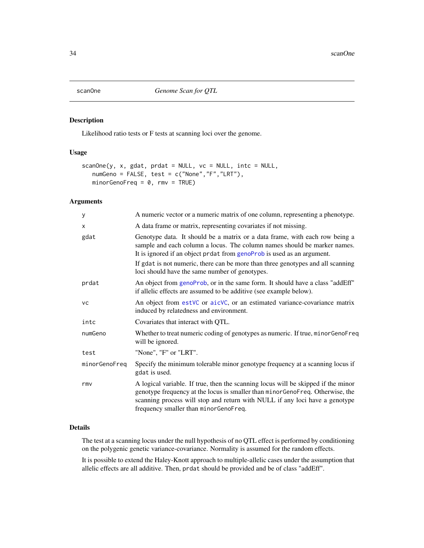<span id="page-33-1"></span><span id="page-33-0"></span>

#### Description

Likelihood ratio tests or F tests at scanning loci over the genome.

# Usage

```
scanOne(y, x, gdat, prdat = NULL, vc = NULL, intc = NULL,
  numGeno = FALSE, test = c("None","F","LRT"),
  minorGenoFreq = 0, rmv = TRUE
```
# Arguments

| A numeric vector or a numeric matrix of one column, representing a phenotype.                                                                                                                                                                                                              |
|--------------------------------------------------------------------------------------------------------------------------------------------------------------------------------------------------------------------------------------------------------------------------------------------|
| A data frame or matrix, representing covariates if not missing.                                                                                                                                                                                                                            |
| Genotype data. It should be a matrix or a data frame, with each row being a<br>sample and each column a locus. The column names should be marker names.<br>It is ignored if an object prdat from genoProb is used as an argument.                                                          |
| If gdat is not numeric, there can be more than three genotypes and all scanning<br>loci should have the same number of genotypes.                                                                                                                                                          |
| An object from genoProb, or in the same form. It should have a class "addEff"<br>if allelic effects are assumed to be additive (see example below).                                                                                                                                        |
| An object from estVC or aicVC, or an estimated variance-covariance matrix<br>induced by relatedness and environment.                                                                                                                                                                       |
| Covariates that interact with QTL.                                                                                                                                                                                                                                                         |
| Whether to treat numeric coding of genotypes as numeric. If true, minor GenoFreq<br>will be ignored.                                                                                                                                                                                       |
| "None", "F" or "LRT".                                                                                                                                                                                                                                                                      |
| Specify the minimum tolerable minor genotype frequency at a scanning locus if<br>gdat is used.                                                                                                                                                                                             |
| A logical variable. If true, then the scanning locus will be skipped if the minor<br>genotype frequency at the locus is smaller than minorGenoFreq. Otherwise, the<br>scanning process will stop and return with NULL if any loci have a genotype<br>frequency smaller than minorGenoFreq. |
|                                                                                                                                                                                                                                                                                            |

#### Details

The test at a scanning locus under the null hypothesis of no QTL effect is performed by conditioning on the polygenic genetic variance-covariance. Normality is assumed for the random effects.

It is possible to extend the Haley-Knott approach to multiple-allelic cases under the assumption that allelic effects are all additive. Then, prdat should be provided and be of class "addEff".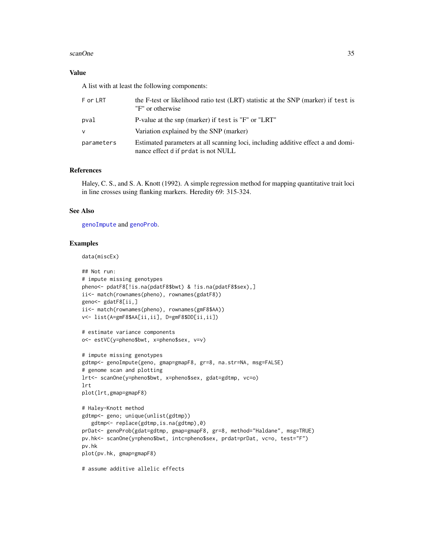#### <span id="page-34-0"></span>scanOne 35

#### Value

A list with at least the following components:

| F or LRT   | the F-test or likelihood ratio test (LRT) statistic at the SNP (marker) if test is<br>"F" or otherwise"                 |
|------------|-------------------------------------------------------------------------------------------------------------------------|
| pval       | P-value at the snp (marker) if test is "F" or "LRT"                                                                     |
| $\vee$     | Variation explained by the SNP (marker)                                                                                 |
| parameters | Estimated parameters at all scanning loci, including additive effect a and domi-<br>nance effect d if prdat is not NULL |

# References

Haley, C. S., and S. A. Knott (1992). A simple regression method for mapping quantitative trait loci in line crosses using flanking markers. Heredity 69: 315-324.

#### See Also

[genoImpute](#page-9-1) and [genoProb](#page-11-1).

# Examples

data(miscEx)

```
## Not run:
# impute missing genotypes
pheno<- pdatF8[!is.na(pdatF8$bwt) & !is.na(pdatF8$sex),]
ii<- match(rownames(pheno), rownames(gdatF8))
geno<- gdatF8[ii,]
ii<- match(rownames(pheno), rownames(gmF8$AA))
v<- list(A=gmF8$AA[ii,ii], D=gmF8$DD[ii,ii])
# estimate variance components
o<- estVC(y=pheno$bwt, x=pheno$sex, v=v)
# impute missing genotypes
```

```
gdtmp<- genoImpute(geno, gmap=gmapF8, gr=8, na.str=NA, msg=FALSE)
# genome scan and plotting
lrt<- scanOne(y=pheno$bwt, x=pheno$sex, gdat=gdtmp, vc=o)
lrt
plot(lrt,gmap=gmapF8)
```

```
# Haley-Knott method
gdtmp<- geno; unique(unlist(gdtmp))
  gdtmp<- replace(gdtmp,is.na(gdtmp),0)
prDat<- genoProb(gdat=gdtmp, gmap=gmapF8, gr=8, method="Haldane", msg=TRUE)
pv.hk<- scanOne(y=pheno$bwt, intc=pheno$sex, prdat=prDat, vc=o, test="F")
pv.hk
plot(pv.hk, gmap=gmapF8)
```
# assume additive allelic effects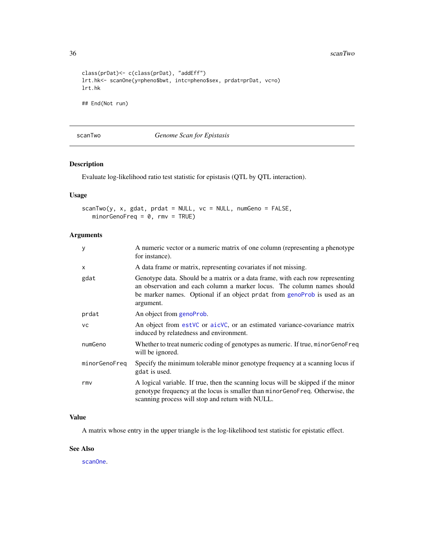36 scanTwo scanTwo scanTwo scanTwo scanTwo scanTwo scanTwo scanTwo scanTwo scanTwo scanTwo scanTwo scanTwo scanTwo

```
class(prDat)<- c(class(prDat), "addEff")
lrt.hk<- scanOne(y=pheno$bwt, intc=pheno$sex, prdat=prDat, vc=o)
lrt.hk
## End(Not run)
```
<span id="page-35-1"></span>scanTwo *Genome Scan for Epistasis*

# Description

Evaluate log-likelihood ratio test statistic for epistasis (QTL by QTL interaction).

# Usage

scanTwo(y, x, gdat, prdat = NULL, vc = NULL, numGeno = FALSE,  $minorGenoFreq = 0, rmv = TRUE$ 

# Arguments

| A numeric vector or a numeric matrix of one column (representing a phenotype<br>for instance).                                                                                                                                                    |
|---------------------------------------------------------------------------------------------------------------------------------------------------------------------------------------------------------------------------------------------------|
| A data frame or matrix, representing covariates if not missing.                                                                                                                                                                                   |
| Genotype data. Should be a matrix or a data frame, with each row representing<br>an observation and each column a marker locus. The column names should<br>be marker names. Optional if an object protat from genoProb is used as an<br>argument. |
| An object from genoProb.                                                                                                                                                                                                                          |
| An object from est VC or aic VC, or an estimated variance-covariance matrix<br>induced by relatedness and environment.                                                                                                                            |
| Whether to treat numeric coding of genotypes as numeric. If true, minor GenoFreq<br>will be ignored.                                                                                                                                              |
| Specify the minimum tolerable minor genotype frequency at a scanning locus if<br>gdat is used.                                                                                                                                                    |
| A logical variable. If true, then the scanning locus will be skipped if the minor<br>genotype frequency at the locus is smaller than minor GenoFreq. Otherwise, the<br>scanning process will stop and return with NULL.                           |
|                                                                                                                                                                                                                                                   |

# Value

A matrix whose entry in the upper triangle is the log-likelihood test statistic for epistatic effect.

#### See Also

[scanOne](#page-33-1).

<span id="page-35-0"></span>